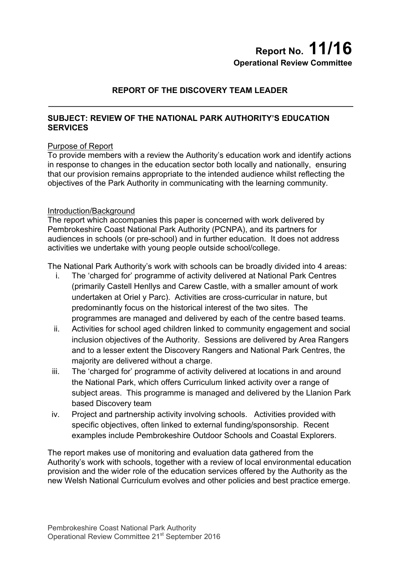# **Report No. 11/16 Operational Review Committee**

## **REPORT OF THE DISCOVERY TEAM LEADER**

### **SUBJECT: REVIEW OF THE NATIONAL PARK AUTHORITY'S EDUCATION SERVICES**

### Purpose of Report

To provide members with a review the Authority's education work and identify actions in response to changes in the education sector both locally and nationally, ensuring that our provision remains appropriate to the intended audience whilst reflecting the objectives of the Park Authority in communicating with the learning community.

### Introduction/Background

The report which accompanies this paper is concerned with work delivered by Pembrokeshire Coast National Park Authority (PCNPA), and its partners for audiences in schools (or pre-school) and in further education. It does not address activities we undertake with young people outside school/college.

The National Park Authority's work with schools can be broadly divided into 4 areas:

- i. The 'charged for' programme of activity delivered at National Park Centres (primarily Castell Henllys and Carew Castle, with a smaller amount of work undertaken at Oriel y Parc). Activities are cross-curricular in nature, but predominantly focus on the historical interest of the two sites. The programmes are managed and delivered by each of the centre based teams.
- ii. Activities for school aged children linked to community engagement and social inclusion objectives of the Authority. Sessions are delivered by Area Rangers and to a lesser extent the Discovery Rangers and National Park Centres, the majority are delivered without a charge.
- iii. The 'charged for' programme of activity delivered at locations in and around the National Park, which offers Curriculum linked activity over a range of subject areas. This programme is managed and delivered by the Llanion Park based Discovery team
- iv. Project and partnership activity involving schools. Activities provided with specific objectives, often linked to external funding/sponsorship. Recent examples include Pembrokeshire Outdoor Schools and Coastal Explorers.

The report makes use of monitoring and evaluation data gathered from the Authority's work with schools, together with a review of local environmental education provision and the wider role of the education services offered by the Authority as the new Welsh National Curriculum evolves and other policies and best practice emerge.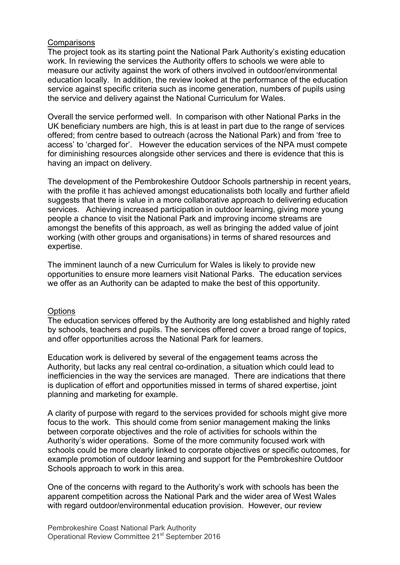### **Comparisons**

The project took as its starting point the National Park Authority's existing education work. In reviewing the services the Authority offers to schools we were able to measure our activity against the work of others involved in outdoor/environmental education locally. In addition, the review looked at the performance of the education service against specific criteria such as income generation, numbers of pupils using the service and delivery against the National Curriculum for Wales.

Overall the service performed well. In comparison with other National Parks in the UK beneficiary numbers are high, this is at least in part due to the range of services offered; from centre based to outreach (across the National Park) and from 'free to access' to 'charged for'. However the education services of the NPA must compete for diminishing resources alongside other services and there is evidence that this is having an impact on delivery.

The development of the Pembrokeshire Outdoor Schools partnership in recent years, with the profile it has achieved amongst educationalists both locally and further afield suggests that there is value in a more collaborative approach to delivering education services. Achieving increased participation in outdoor learning, giving more young people a chance to visit the National Park and improving income streams are amongst the benefits of this approach, as well as bringing the added value of joint working (with other groups and organisations) in terms of shared resources and expertise.

The imminent launch of a new Curriculum for Wales is likely to provide new opportunities to ensure more learners visit National Parks. The education services we offer as an Authority can be adapted to make the best of this opportunity.

#### **Options**

The education services offered by the Authority are long established and highly rated by schools, teachers and pupils. The services offered cover a broad range of topics, and offer opportunities across the National Park for learners.

Education work is delivered by several of the engagement teams across the Authority, but lacks any real central co-ordination, a situation which could lead to inefficiencies in the way the services are managed. There are indications that there is duplication of effort and opportunities missed in terms of shared expertise, joint planning and marketing for example.

A clarity of purpose with regard to the services provided for schools might give more focus to the work. This should come from senior management making the links between corporate objectives and the role of activities for schools within the Authority's wider operations. Some of the more community focused work with schools could be more clearly linked to corporate objectives or specific outcomes, for example promotion of outdoor learning and support for the Pembrokeshire Outdoor Schools approach to work in this area.

One of the concerns with regard to the Authority's work with schools has been the apparent competition across the National Park and the wider area of West Wales with regard outdoor/environmental education provision. However, our review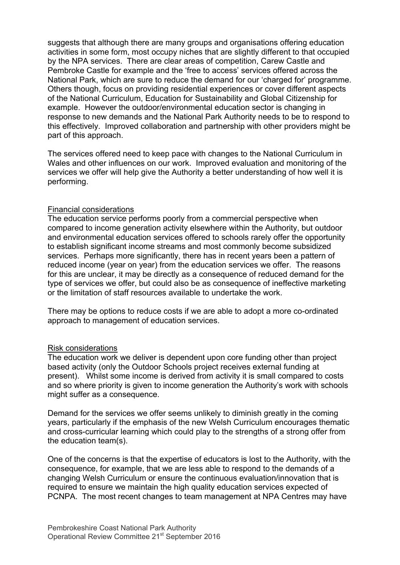suggests that although there are many groups and organisations offering education activities in some form, most occupy niches that are slightly different to that occupied by the NPA services. There are clear areas of competition, Carew Castle and Pembroke Castle for example and the 'free to access' services offered across the National Park, which are sure to reduce the demand for our 'charged for' programme. Others though, focus on providing residential experiences or cover different aspects of the National Curriculum, Education for Sustainability and Global Citizenship for example. However the outdoor/environmental education sector is changing in response to new demands and the National Park Authority needs to be to respond to this effectively. Improved collaboration and partnership with other providers might be part of this approach.

The services offered need to keep pace with changes to the National Curriculum in Wales and other influences on our work. Improved evaluation and monitoring of the services we offer will help give the Authority a better understanding of how well it is performing.

### Financial considerations

The education service performs poorly from a commercial perspective when compared to income generation activity elsewhere within the Authority, but outdoor and environmental education services offered to schools rarely offer the opportunity to establish significant income streams and most commonly become subsidized services. Perhaps more significantly, there has in recent years been a pattern of reduced income (year on year) from the education services we offer. The reasons for this are unclear, it may be directly as a consequence of reduced demand for the type of services we offer, but could also be as consequence of ineffective marketing or the limitation of staff resources available to undertake the work.

There may be options to reduce costs if we are able to adopt a more co-ordinated approach to management of education services.

#### Risk considerations

The education work we deliver is dependent upon core funding other than project based activity (only the Outdoor Schools project receives external funding at present). Whilst some income is derived from activity it is small compared to costs and so where priority is given to income generation the Authority's work with schools might suffer as a consequence.

Demand for the services we offer seems unlikely to diminish greatly in the coming years, particularly if the emphasis of the new Welsh Curriculum encourages thematic and cross-curricular learning which could play to the strengths of a strong offer from the education team(s).

One of the concerns is that the expertise of educators is lost to the Authority, with the consequence, for example, that we are less able to respond to the demands of a changing Welsh Curriculum or ensure the continuous evaluation/innovation that is required to ensure we maintain the high quality education services expected of PCNPA. The most recent changes to team management at NPA Centres may have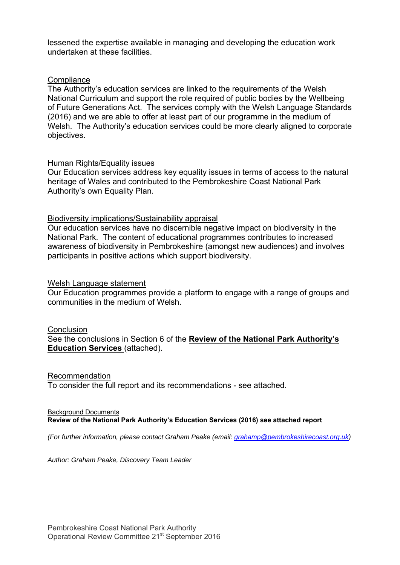lessened the expertise available in managing and developing the education work undertaken at these facilities.

### **Compliance**

The Authority's education services are linked to the requirements of the Welsh National Curriculum and support the role required of public bodies by the Wellbeing of Future Generations Act. The services comply with the Welsh Language Standards (2016) and we are able to offer at least part of our programme in the medium of Welsh. The Authority's education services could be more clearly aligned to corporate objectives.

### Human Rights/Equality issues

Our Education services address key equality issues in terms of access to the natural heritage of Wales and contributed to the Pembrokeshire Coast National Park Authority's own Equality Plan.

### Biodiversity implications/Sustainability appraisal

Our education services have no discernible negative impact on biodiversity in the National Park. The content of educational programmes contributes to increased awareness of biodiversity in Pembrokeshire (amongst new audiences) and involves participants in positive actions which support biodiversity.

#### Welsh Language statement

Our Education programmes provide a platform to engage with a range of groups and communities in the medium of Welsh.

### **Conclusion**

See the conclusions in Section 6 of the **Review of the National Park Authority's Education Services** (attached).

#### Recommendation

To consider the full report and its recommendations - see attached.

#### Background Documents **Review of the National Park Authority's Education Services (2016) see attached report**

*(For further information, please contact Graham Peake (email: grahamp@pembrokeshirecoast.org.uk)* 

*Author: Graham Peake, Discovery Team Leader*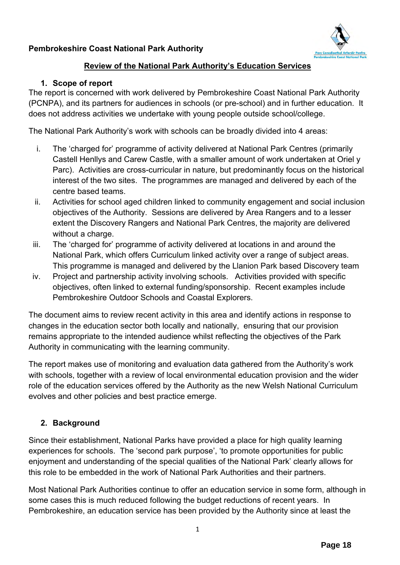# **Pembrokeshire Coast National Park Authority**



## **Review of the National Park Authority's Education Services**

### **1. Scope of report**

The report is concerned with work delivered by Pembrokeshire Coast National Park Authority (PCNPA), and its partners for audiences in schools (or pre-school) and in further education. It does not address activities we undertake with young people outside school/college.

The National Park Authority's work with schools can be broadly divided into 4 areas:

- i. The 'charged for' programme of activity delivered at National Park Centres (primarily Castell Henllys and Carew Castle, with a smaller amount of work undertaken at Oriel y Parc). Activities are cross-curricular in nature, but predominantly focus on the historical interest of the two sites. The programmes are managed and delivered by each of the centre based teams.
- ii. Activities for school aged children linked to community engagement and social inclusion objectives of the Authority. Sessions are delivered by Area Rangers and to a lesser extent the Discovery Rangers and National Park Centres, the majority are delivered without a charge.
- iii. The 'charged for' programme of activity delivered at locations in and around the National Park, which offers Curriculum linked activity over a range of subject areas. This programme is managed and delivered by the Llanion Park based Discovery team
- iv. Project and partnership activity involving schools. Activities provided with specific objectives, often linked to external funding/sponsorship. Recent examples include Pembrokeshire Outdoor Schools and Coastal Explorers.

The document aims to review recent activity in this area and identify actions in response to changes in the education sector both locally and nationally, ensuring that our provision remains appropriate to the intended audience whilst reflecting the objectives of the Park Authority in communicating with the learning community.

The report makes use of monitoring and evaluation data gathered from the Authority's work with schools, together with a review of local environmental education provision and the wider role of the education services offered by the Authority as the new Welsh National Curriculum evolves and other policies and best practice emerge.

# **2. Background**

Since their establishment, National Parks have provided a place for high quality learning experiences for schools. The 'second park purpose', 'to promote opportunities for public enjoyment and understanding of the special qualities of the National Park' clearly allows for this role to be embedded in the work of National Park Authorities and their partners.

Most National Park Authorities continue to offer an education service in some form, although in some cases this is much reduced following the budget reductions of recent years. In Pembrokeshire, an education service has been provided by the Authority since at least the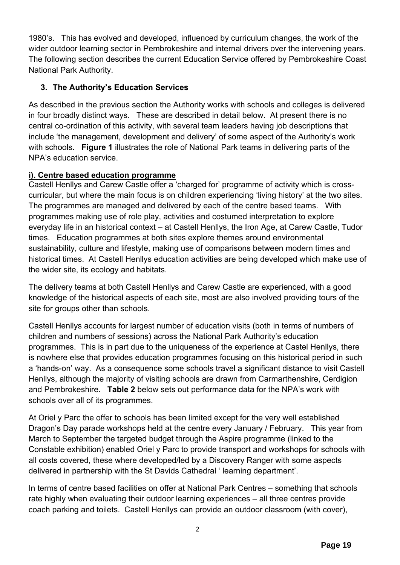1980's. This has evolved and developed, influenced by curriculum changes, the work of the wider outdoor learning sector in Pembrokeshire and internal drivers over the intervening years. The following section describes the current Education Service offered by Pembrokeshire Coast National Park Authority.

# **3. The Authority's Education Services**

As described in the previous section the Authority works with schools and colleges is delivered in four broadly distinct ways. These are described in detail below. At present there is no central co-ordination of this activity, with several team leaders having job descriptions that include 'the management, development and delivery' of some aspect of the Authority's work with schools. **Figure 1** illustrates the role of National Park teams in delivering parts of the NPA's education service.

# **i). Centre based education programme**

Castell Henllys and Carew Castle offer a 'charged for' programme of activity which is crosscurricular, but where the main focus is on children experiencing 'living history' at the two sites. The programmes are managed and delivered by each of the centre based teams. With programmes making use of role play, activities and costumed interpretation to explore everyday life in an historical context – at Castell Henllys, the Iron Age, at Carew Castle, Tudor times. Education programmes at both sites explore themes around environmental sustainability, culture and lifestyle, making use of comparisons between modern times and historical times. At Castell Henllys education activities are being developed which make use of the wider site, its ecology and habitats.

The delivery teams at both Castell Henllys and Carew Castle are experienced, with a good knowledge of the historical aspects of each site, most are also involved providing tours of the site for groups other than schools.

Castell Henllys accounts for largest number of education visits (both in terms of numbers of children and numbers of sessions) across the National Park Authority's education programmes. This is in part due to the uniqueness of the experience at Castel Henllys, there is nowhere else that provides education programmes focusing on this historical period in such a 'hands-on' way. As a consequence some schools travel a significant distance to visit Castell Henllys, although the majority of visiting schools are drawn from Carmarthenshire, Cerdigion and Pembrokeshire. **Table 2** below sets out performance data for the NPA's work with schools over all of its programmes.

At Oriel y Parc the offer to schools has been limited except for the very well established Dragon's Day parade workshops held at the centre every January / February. This year from March to September the targeted budget through the Aspire programme (linked to the Constable exhibition) enabled Oriel y Parc to provide transport and workshops for schools with all costs covered, these where developed/led by a Discovery Ranger with some aspects delivered in partnership with the St Davids Cathedral ' learning department'.

In terms of centre based facilities on offer at National Park Centres – something that schools rate highly when evaluating their outdoor learning experiences – all three centres provide coach parking and toilets. Castell Henllys can provide an outdoor classroom (with cover),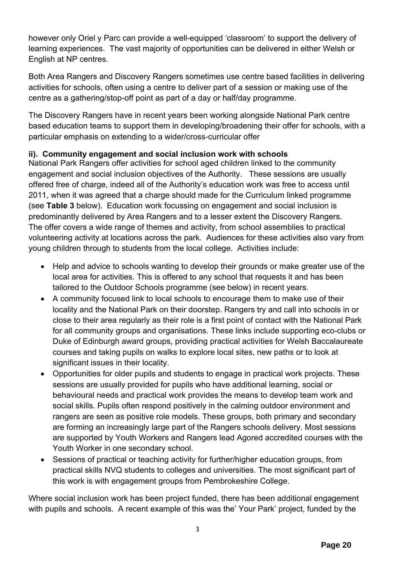however only Oriel y Parc can provide a well-equipped 'classroom' to support the delivery of learning experiences. The vast majority of opportunities can be delivered in either Welsh or English at NP centres.

Both Area Rangers and Discovery Rangers sometimes use centre based facilities in delivering activities for schools, often using a centre to deliver part of a session or making use of the centre as a gathering/stop-off point as part of a day or half/day programme.

The Discovery Rangers have in recent years been working alongside National Park centre based education teams to support them in developing/broadening their offer for schools, with a particular emphasis on extending to a wider/cross-curricular offer

# **ii). Community engagement and social inclusion work with schools**

National Park Rangers offer activities for school aged children linked to the community engagement and social inclusion objectives of the Authority. These sessions are usually offered free of charge, indeed all of the Authority's education work was free to access until 2011, when it was agreed that a charge should made for the Curriculum linked programme (see **Table 3** below). Education work focussing on engagement and social inclusion is predominantly delivered by Area Rangers and to a lesser extent the Discovery Rangers. The offer covers a wide range of themes and activity, from school assemblies to practical volunteering activity at locations across the park. Audiences for these activities also vary from young children through to students from the local college. Activities include:

- Help and advice to schools wanting to develop their grounds or make greater use of the local area for activities. This is offered to any school that requests it and has been tailored to the Outdoor Schools programme (see below) in recent years.
- A community focused link to local schools to encourage them to make use of their locality and the National Park on their doorstep. Rangers try and call into schools in or close to their area regularly as their role is a first point of contact with the National Park for all community groups and organisations. These links include supporting eco-clubs or Duke of Edinburgh award groups, providing practical activities for Welsh Baccalaureate courses and taking pupils on walks to explore local sites, new paths or to look at significant issues in their locality.
- Opportunities for older pupils and students to engage in practical work projects. These sessions are usually provided for pupils who have additional learning, social or behavioural needs and practical work provides the means to develop team work and social skills. Pupils often respond positively in the calming outdoor environment and rangers are seen as positive role models. These groups, both primary and secondary are forming an increasingly large part of the Rangers schools delivery. Most sessions are supported by Youth Workers and Rangers lead Agored accredited courses with the Youth Worker in one secondary school.
- Sessions of practical or teaching activity for further/higher education groups, from practical skills NVQ students to colleges and universities. The most significant part of this work is with engagement groups from Pembrokeshire College.

Where social inclusion work has been project funded, there has been additional engagement with pupils and schools. A recent example of this was the' Your Park' project, funded by the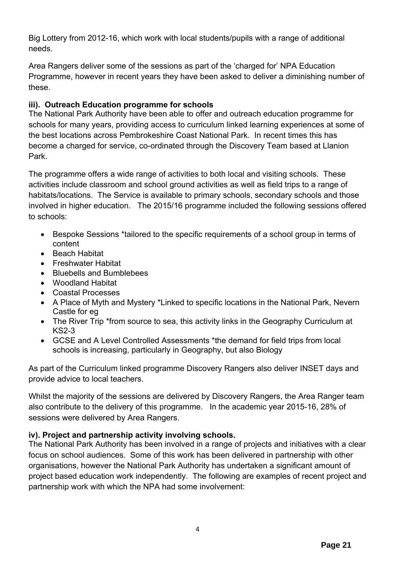Big Lottery from 2012-16, which work with local students/pupils with a range of additional needs.

Area Rangers deliver some of the sessions as part of the 'charged for' NPA Education Programme, however in recent years they have been asked to deliver a diminishing number of these.

# **iii). Outreach Education programme for schools**

The National Park Authority have been able to offer and outreach education programme for schools for many years, providing access to curriculum linked learning experiences at some of the best locations across Pembrokeshire Coast National Park. In recent times this has become a charged for service, co-ordinated through the Discovery Team based at Llanion Park.

The programme offers a wide range of activities to both local and visiting schools. These activities include classroom and school ground activities as well as field trips to a range of habitats/locations. The Service is available to primary schools, secondary schools and those involved in higher education. The 2015/16 programme included the following sessions offered to schools:

- Bespoke Sessions \*tailored to the specific requirements of a school group in terms of content
- Beach Habitat
- Freshwater Habitat
- Bluebells and Bumblebees
- Woodland Habitat
- Coastal Processes
- A Place of Myth and Mystery \*Linked to specific locations in the National Park, Nevern Castle for eg
- The River Trip \*from source to sea, this activity links in the Geography Curriculum at KS2-3
- GCSE and A Level Controlled Assessments \*the demand for field trips from local schools is increasing, particularly in Geography, but also Biology

As part of the Curriculum linked programme Discovery Rangers also deliver INSET days and provide advice to local teachers.

Whilst the majority of the sessions are delivered by Discovery Rangers, the Area Ranger team also contribute to the delivery of this programme. In the academic year 2015-16, 28% of sessions were delivered by Area Rangers.

# **iv). Project and partnership activity involving schools.**

The National Park Authority has been involved in a range of projects and initiatives with a clear focus on school audiences. Some of this work has been delivered in partnership with other organisations, however the National Park Authority has undertaken a significant amount of project based education work independently. The following are examples of recent project and partnership work with which the NPA had some involvement: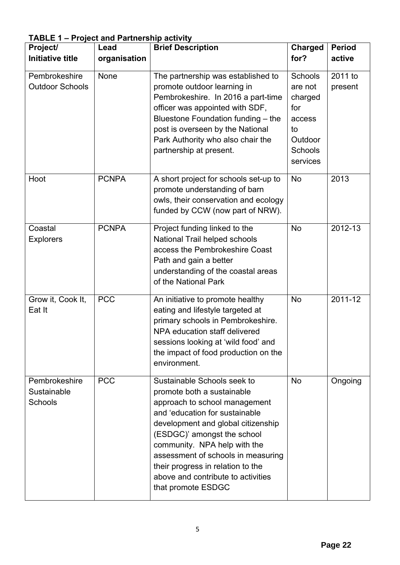| Project/                                       | Lead         | <b>Brief Description</b>                                                                                                                                                                                                                                                                                                                                                 | <b>Charged</b>                                                                         | <b>Period</b>      |
|------------------------------------------------|--------------|--------------------------------------------------------------------------------------------------------------------------------------------------------------------------------------------------------------------------------------------------------------------------------------------------------------------------------------------------------------------------|----------------------------------------------------------------------------------------|--------------------|
| <b>Initiative title</b>                        | organisation |                                                                                                                                                                                                                                                                                                                                                                          | for?                                                                                   | active             |
| Pembrokeshire<br><b>Outdoor Schools</b>        | None         | The partnership was established to<br>promote outdoor learning in<br>Pembrokeshire. In 2016 a part-time<br>officer was appointed with SDF,<br>Bluestone Foundation funding - the<br>post is overseen by the National<br>Park Authority who also chair the<br>partnership at present.                                                                                     | Schools<br>are not<br>charged<br>for<br>access<br>to<br>Outdoor<br>Schools<br>services | 2011 to<br>present |
| Hoot                                           | <b>PCNPA</b> | A short project for schools set-up to<br>promote understanding of barn<br>owls, their conservation and ecology<br>funded by CCW (now part of NRW).                                                                                                                                                                                                                       | <b>No</b>                                                                              | 2013               |
| Coastal<br><b>Explorers</b>                    | <b>PCNPA</b> | Project funding linked to the<br>National Trail helped schools<br>access the Pembrokeshire Coast<br>Path and gain a better<br>understanding of the coastal areas<br>of the National Park                                                                                                                                                                                 | <b>No</b>                                                                              | 2012-13            |
| Grow it, Cook It,<br>Eat It                    | <b>PCC</b>   | An initiative to promote healthy<br>eating and lifestyle targeted at<br>primary schools in Pembrokeshire.<br>NPA education staff delivered<br>sessions looking at 'wild food' and<br>the impact of food production on the<br>environment.                                                                                                                                | <b>No</b>                                                                              | 2011-12            |
| Pembrokeshire<br>Sustainable<br><b>Schools</b> | <b>PCC</b>   | Sustainable Schools seek to<br>promote both a sustainable<br>approach to school management<br>and 'education for sustainable<br>development and global citizenship<br>(ESDGC)' amongst the school<br>community. NPA help with the<br>assessment of schools in measuring<br>their progress in relation to the<br>above and contribute to activities<br>that promote ESDGC | <b>No</b>                                                                              | Ongoing            |

**TABLE 1 – Project and Partnership activity**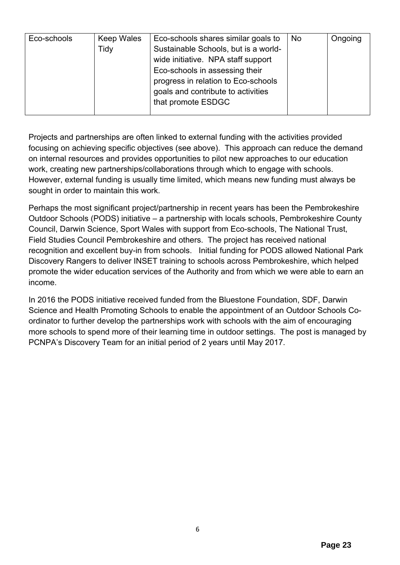| Eco-schools | <b>Keep Wales</b> | Eco-schools shares similar goals to  | No | Ongoing |
|-------------|-------------------|--------------------------------------|----|---------|
|             | Tidy              | Sustainable Schools, but is a world- |    |         |
|             |                   | wide initiative. NPA staff support   |    |         |
|             |                   | Eco-schools in assessing their       |    |         |
|             |                   | progress in relation to Eco-schools  |    |         |
|             |                   | goals and contribute to activities   |    |         |
|             |                   | that promote ESDGC                   |    |         |
|             |                   |                                      |    |         |

Projects and partnerships are often linked to external funding with the activities provided focusing on achieving specific objectives (see above). This approach can reduce the demand on internal resources and provides opportunities to pilot new approaches to our education work, creating new partnerships/collaborations through which to engage with schools. However, external funding is usually time limited, which means new funding must always be sought in order to maintain this work.

Perhaps the most significant project/partnership in recent years has been the Pembrokeshire Outdoor Schools (PODS) initiative – a partnership with locals schools, Pembrokeshire County Council, Darwin Science, Sport Wales with support from Eco-schools, The National Trust, Field Studies Council Pembrokeshire and others. The project has received national recognition and excellent buy-in from schools. Initial funding for PODS allowed National Park Discovery Rangers to deliver INSET training to schools across Pembrokeshire, which helped promote the wider education services of the Authority and from which we were able to earn an income.

In 2016 the PODS initiative received funded from the Bluestone Foundation, SDF, Darwin Science and Health Promoting Schools to enable the appointment of an Outdoor Schools Coordinator to further develop the partnerships work with schools with the aim of encouraging more schools to spend more of their learning time in outdoor settings. The post is managed by PCNPA's Discovery Team for an initial period of 2 years until May 2017.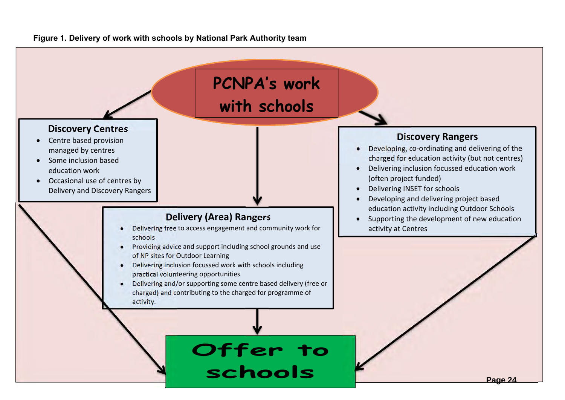

### **Figure 1. Delivery of work with schools by National Park Authority team**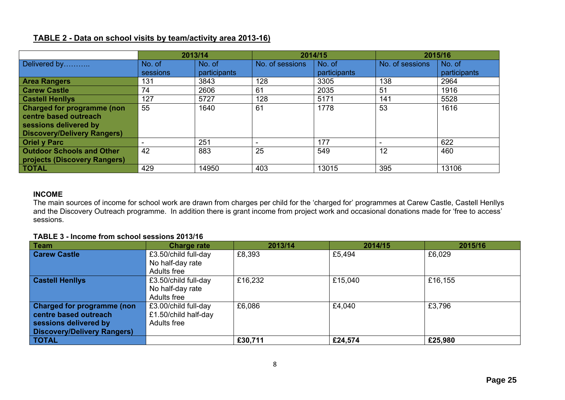### **TABLE 2 - Data on school visits by team/activity area 2013-16)**

|                                    | 2013/14  |              | 2014/15         |              | 2015/16         |              |
|------------------------------------|----------|--------------|-----------------|--------------|-----------------|--------------|
| Delivered by                       | No. of   | No. of       | No. of sessions | No. of       | No. of sessions | No. of       |
|                                    | sessions | participants |                 | participants |                 | participants |
| <b>Area Rangers</b>                | 131      | 3843         | 128             | 3305         | 138             | 2964         |
| <b>Carew Castle</b>                | 74       | 2606         | 61              | 2035         | 51              | 1916         |
| <b>Castell Henllys</b>             | 127      | 5727         | 128             | 5171         | 141             | 5528         |
| <b>Charged for programme (non</b>  | 55       | 1640         | 61              | 1778         | 53              | 1616         |
| centre based outreach              |          |              |                 |              |                 |              |
| sessions delivered by              |          |              |                 |              |                 |              |
| <b>Discovery/Delivery Rangers)</b> |          |              |                 |              |                 |              |
| <b>Oriel y Parc</b>                |          | 251          |                 | 177          | $\,$            | 622          |
| <b>Outdoor Schools and Other</b>   | 42       | 883          | 25              | 549          | 12              | 460          |
| projects (Discovery Rangers)       |          |              |                 |              |                 |              |
| <b>TOTAL</b>                       | 429      | 14950        | 403             | 13015        | 395             | 13106        |

#### **INCOME**

The main sources of income for school work are drawn from charges per child for the 'charged for' programmes at Carew Castle, Castell Henllys and the Discovery Outreach programme. In addition there is grant income from project work and occasional donations made for 'free to access' sessions.

### **TABLE 3 - Income from school sessions 2013/16**

| <b>Team</b>                        | <b>Charge rate</b>   | 2013/14 | 2014/15 | 2015/16 |
|------------------------------------|----------------------|---------|---------|---------|
| <b>Carew Castle</b>                | £3.50/child full-day | £8,393  | £5,494  | £6,029  |
|                                    | No half-day rate     |         |         |         |
|                                    | Adults free          |         |         |         |
| <b>Castell Henllys</b>             | £3.50/child full-day | £16,232 | £15,040 | £16,155 |
|                                    | No half-day rate     |         |         |         |
|                                    | Adults free          |         |         |         |
| <b>Charged for programme (non</b>  | £3.00/child full-day | £6,086  | £4,040  | £3,796  |
| centre based outreach              | £1.50/child half-day |         |         |         |
| sessions delivered by              | <b>Adults free</b>   |         |         |         |
| <b>Discovery/Delivery Rangers)</b> |                      |         |         |         |
| <b>TOTAL</b>                       |                      | £30,711 | £24,574 | £25,980 |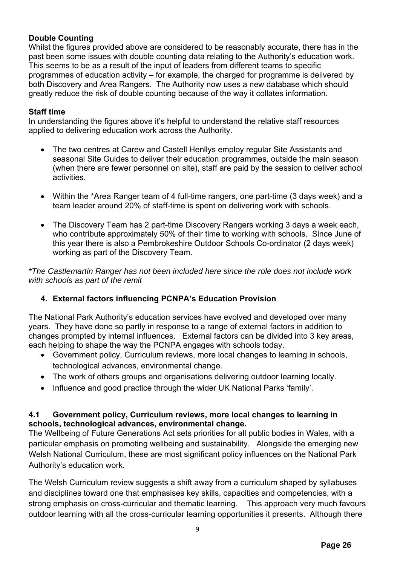### **Double Counting**

Whilst the figures provided above are considered to be reasonably accurate, there has in the past been some issues with double counting data relating to the Authority's education work. This seems to be as a result of the input of leaders from different teams to specific programmes of education activity – for example, the charged for programme is delivered by both Discovery and Area Rangers. The Authority now uses a new database which should greatly reduce the risk of double counting because of the way it collates information.

### **Staff time**

In understanding the figures above it's helpful to understand the relative staff resources applied to delivering education work across the Authority.

- The two centres at Carew and Castell Henllys employ regular Site Assistants and seasonal Site Guides to deliver their education programmes, outside the main season (when there are fewer personnel on site), staff are paid by the session to deliver school activities.
- Within the \*Area Ranger team of 4 full-time rangers, one part-time (3 days week) and a team leader around 20% of staff-time is spent on delivering work with schools.
- The Discovery Team has 2 part-time Discovery Rangers working 3 days a week each, who contribute approximately 50% of their time to working with schools. Since June of this year there is also a Pembrokeshire Outdoor Schools Co-ordinator (2 days week) working as part of the Discovery Team.

*\*The Castlemartin Ranger has not been included here since the role does not include work with schools as part of the remit* 

### **4. External factors influencing PCNPA's Education Provision**

The National Park Authority's education services have evolved and developed over many years. They have done so partly in response to a range of external factors in addition to changes prompted by internal influences. External factors can be divided into 3 key areas, each helping to shape the way the PCNPA engages with schools today.

- Government policy, Curriculum reviews, more local changes to learning in schools, technological advances, environmental change.
- The work of others groups and organisations delivering outdoor learning locally.
- Influence and good practice through the wider UK National Parks 'family'.

### **4.1 Government policy, Curriculum reviews, more local changes to learning in schools, technological advances, environmental change.**

The Wellbeing of Future Generations Act sets priorities for all public bodies in Wales, with a particular emphasis on promoting wellbeing and sustainability. Alongside the emerging new Welsh National Curriculum, these are most significant policy influences on the National Park Authority's education work.

The Welsh Curriculum review suggests a shift away from a curriculum shaped by syllabuses and disciplines toward one that emphasises key skills, capacities and competencies, with a strong emphasis on cross-curricular and thematic learning. This approach very much favours outdoor learning with all the cross-curricular learning opportunities it presents. Although there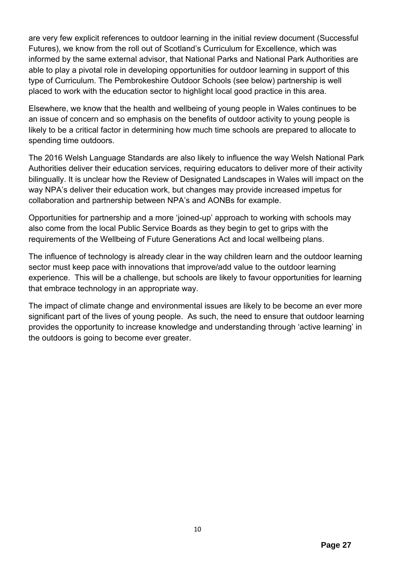are very few explicit references to outdoor learning in the initial review document (Successful Futures), we know from the roll out of Scotland's Curriculum for Excellence, which was informed by the same external advisor, that National Parks and National Park Authorities are able to play a pivotal role in developing opportunities for outdoor learning in support of this type of Curriculum. The Pembrokeshire Outdoor Schools (see below) partnership is well placed to work with the education sector to highlight local good practice in this area.

Elsewhere, we know that the health and wellbeing of young people in Wales continues to be an issue of concern and so emphasis on the benefits of outdoor activity to young people is likely to be a critical factor in determining how much time schools are prepared to allocate to spending time outdoors.

The 2016 Welsh Language Standards are also likely to influence the way Welsh National Park Authorities deliver their education services, requiring educators to deliver more of their activity bilingually. It is unclear how the Review of Designated Landscapes in Wales will impact on the way NPA's deliver their education work, but changes may provide increased impetus for collaboration and partnership between NPA's and AONBs for example.

Opportunities for partnership and a more 'joined-up' approach to working with schools may also come from the local Public Service Boards as they begin to get to grips with the requirements of the Wellbeing of Future Generations Act and local wellbeing plans.

The influence of technology is already clear in the way children learn and the outdoor learning sector must keep pace with innovations that improve/add value to the outdoor learning experience. This will be a challenge, but schools are likely to favour opportunities for learning that embrace technology in an appropriate way.

The impact of climate change and environmental issues are likely to be become an ever more significant part of the lives of young people. As such, the need to ensure that outdoor learning provides the opportunity to increase knowledge and understanding through 'active learning' in the outdoors is going to become ever greater.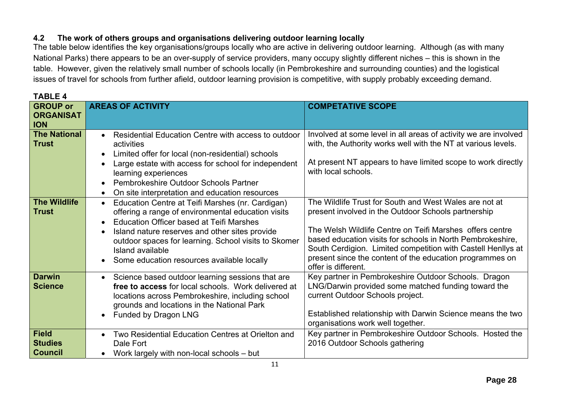# **4.2 The work of others groups and organisations delivering outdoor learning locally**

**TABLE 4** 

The table below identifies the key organisations/groups locally who are active in delivering outdoor learning. Although (as with many National Parks) there appears to be an over-supply of service providers, many occupy slightly different niches – this is shown in the table. However, given the relatively small number of schools locally (in Pembrokeshire and surrounding counties) and the logistical issues of travel for schools from further afield, outdoor learning provision is competitive, with supply probably exceeding demand.

| <b>GROUP or</b><br><b>ORGANISAT</b><br><b>ION</b> | <b>AREAS OF ACTIVITY</b>                                                                                                                                                                                                                                                                                                                                 | <b>COMPETATIVE SCOPE</b>                                                                                                                                                                                                                                                                                                                                                                   |
|---------------------------------------------------|----------------------------------------------------------------------------------------------------------------------------------------------------------------------------------------------------------------------------------------------------------------------------------------------------------------------------------------------------------|--------------------------------------------------------------------------------------------------------------------------------------------------------------------------------------------------------------------------------------------------------------------------------------------------------------------------------------------------------------------------------------------|
| <b>The National</b><br><b>Trust</b>               | Residential Education Centre with access to outdoor<br>$\bullet$<br>activities<br>Limited offer for local (non-residential) schools                                                                                                                                                                                                                      | Involved at some level in all areas of activity we are involved<br>with, the Authority works well with the NT at various levels.                                                                                                                                                                                                                                                           |
|                                                   | Large estate with access for school for independent<br>learning experiences<br>Pembrokeshire Outdoor Schools Partner                                                                                                                                                                                                                                     | At present NT appears to have limited scope to work directly<br>with local schools.                                                                                                                                                                                                                                                                                                        |
|                                                   | On site interpretation and education resources                                                                                                                                                                                                                                                                                                           |                                                                                                                                                                                                                                                                                                                                                                                            |
| <b>The Wildlife</b><br><b>Trust</b>               | Education Centre at Teifi Marshes (nr. Cardigan)<br>$\bullet$<br>offering a range of environmental education visits<br>Education Officer based at Teifi Marshes<br>$\bullet$<br>Island nature reserves and other sites provide<br>outdoor spaces for learning. School visits to Skomer<br>Island available<br>Some education resources available locally | The Wildlife Trust for South and West Wales are not at<br>present involved in the Outdoor Schools partnership<br>The Welsh Wildlife Centre on Teifi Marshes offers centre<br>based education visits for schools in North Pembrokeshire,<br>South Cerdigion. Limited competition with Castell Henllys at<br>present since the content of the education programmes on<br>offer is different. |
| <b>Darwin</b><br><b>Science</b>                   | Science based outdoor learning sessions that are<br>$\bullet$<br>free to access for local schools. Work delivered at<br>locations across Pembrokeshire, including school<br>grounds and locations in the National Park<br><b>Funded by Dragon LNG</b>                                                                                                    | Key partner in Pembrokeshire Outdoor Schools. Dragon<br>LNG/Darwin provided some matched funding toward the<br>current Outdoor Schools project.<br>Established relationship with Darwin Science means the two<br>organisations work well together.                                                                                                                                         |
| <b>Field</b><br><b>Studies</b><br><b>Council</b>  | Two Residential Education Centres at Orielton and<br>Dale Fort<br>Work largely with non-local schools - but                                                                                                                                                                                                                                              | Key partner in Pembrokeshire Outdoor Schools. Hosted the<br>2016 Outdoor Schools gathering                                                                                                                                                                                                                                                                                                 |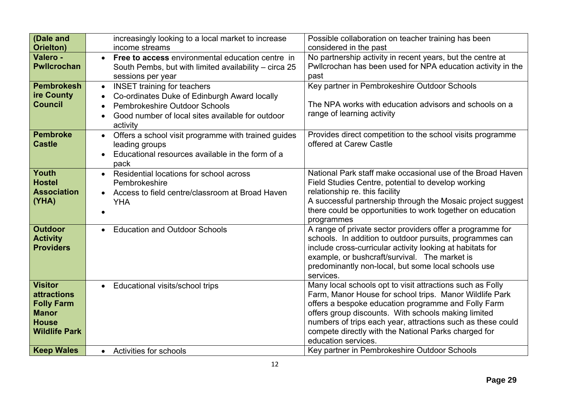| (Dale and            | increasingly looking to a local market to increase               | Possible collaboration on teacher training has been                      |
|----------------------|------------------------------------------------------------------|--------------------------------------------------------------------------|
| Orielton)            | income streams                                                   | considered in the past                                                   |
| Valero -             | Free to access environmental education centre in<br>$\bullet$    | No partnership activity in recent years, but the centre at               |
| <b>Pwllcrochan</b>   | South Pembs, but with limited availability - circa 25            | Pwllcrochan has been used for NPA education activity in the              |
|                      | sessions per year                                                | past                                                                     |
| <b>Pembrokesh</b>    | <b>INSET training for teachers</b><br>$\bullet$                  | Key partner in Pembrokeshire Outdoor Schools                             |
| ire County           | Co-ordinates Duke of Edinburgh Award locally                     |                                                                          |
| <b>Council</b>       | Pembrokeshire Outdoor Schools                                    | The NPA works with education advisors and schools on a                   |
|                      | Good number of local sites available for outdoor                 | range of learning activity                                               |
|                      | activity                                                         |                                                                          |
| <b>Pembroke</b>      | Offers a school visit programme with trained guides<br>$\bullet$ | Provides direct competition to the school visits programme               |
| <b>Castle</b>        | leading groups                                                   | offered at Carew Castle                                                  |
|                      | Educational resources available in the form of a                 |                                                                          |
|                      | pack                                                             |                                                                          |
| Youth                | Residential locations for school across<br>$\bullet$             | National Park staff make occasional use of the Broad Haven               |
| <b>Hostel</b>        | Pembrokeshire                                                    | Field Studies Centre, potential to develop working                       |
| <b>Association</b>   | Access to field centre/classroom at Broad Haven                  | relationship re. this facility                                           |
| (YHA)                | <b>YHA</b>                                                       | A successful partnership through the Mosaic project suggest              |
|                      |                                                                  | there could be opportunities to work together on education<br>programmes |
| <b>Outdoor</b>       | <b>Education and Outdoor Schools</b><br>$\bullet$                | A range of private sector providers offer a programme for                |
| <b>Activity</b>      |                                                                  | schools. In addition to outdoor pursuits, programmes can                 |
| <b>Providers</b>     |                                                                  | include cross-curricular activity looking at habitats for                |
|                      |                                                                  | example, or bushcraft/survival. The market is                            |
|                      |                                                                  | predominantly non-local, but some local schools use                      |
|                      |                                                                  | services.                                                                |
| <b>Visitor</b>       | Educational visits/school trips<br>$\bullet$                     | Many local schools opt to visit attractions such as Folly                |
| <b>attractions</b>   |                                                                  | Farm, Manor House for school trips. Manor Wildlife Park                  |
| <b>Folly Farm</b>    |                                                                  | offers a bespoke education programme and Folly Farm                      |
| <b>Manor</b>         |                                                                  | offers group discounts. With schools making limited                      |
| <b>House</b>         |                                                                  | numbers of trips each year, attractions such as these could              |
| <b>Wildlife Park</b> |                                                                  | compete directly with the National Parks charged for                     |
|                      |                                                                  | education services.                                                      |
| <b>Keep Wales</b>    | • Activities for schools                                         | Key partner in Pembrokeshire Outdoor Schools                             |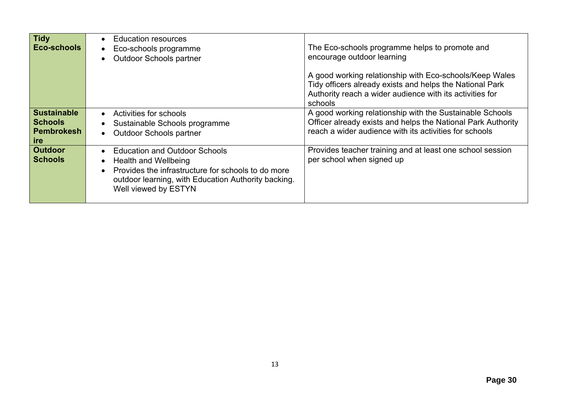| <b>Tidy</b><br>Eco-schools                                              | <b>Education resources</b><br>Eco-schools programme<br><b>Outdoor Schools partner</b>                                                                                                             | The Eco-schools programme helps to promote and<br>encourage outdoor learning<br>A good working relationship with Eco-schools/Keep Wales<br>Tidy officers already exists and helps the National Park<br>Authority reach a wider audience with its activities for<br>schools |
|-------------------------------------------------------------------------|---------------------------------------------------------------------------------------------------------------------------------------------------------------------------------------------------|----------------------------------------------------------------------------------------------------------------------------------------------------------------------------------------------------------------------------------------------------------------------------|
| <b>Sustainable</b><br><b>Schools</b><br><b>Pembrokesh</b><br><b>ire</b> | Activities for schools<br>Sustainable Schools programme<br><b>Outdoor Schools partner</b>                                                                                                         | A good working relationship with the Sustainable Schools<br>Officer already exists and helps the National Park Authority<br>reach a wider audience with its activities for schools                                                                                         |
| <b>Outdoor</b><br><b>Schools</b>                                        | <b>Education and Outdoor Schools</b><br>Health and Wellbeing<br>Provides the infrastructure for schools to do more<br>outdoor learning, with Education Authority backing.<br>Well viewed by ESTYN | Provides teacher training and at least one school session<br>per school when signed up                                                                                                                                                                                     |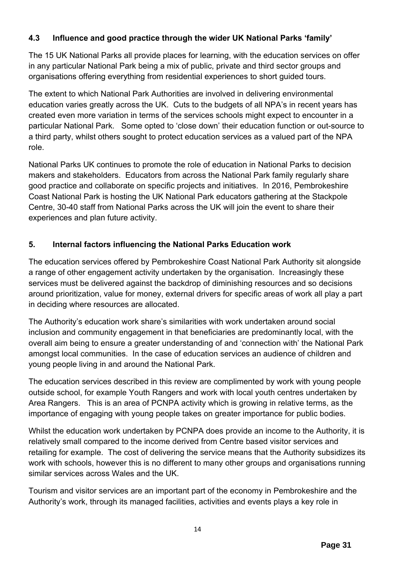# **4.3 Influence and good practice through the wider UK National Parks 'family'**

The 15 UK National Parks all provide places for learning, with the education services on offer in any particular National Park being a mix of public, private and third sector groups and organisations offering everything from residential experiences to short guided tours.

The extent to which National Park Authorities are involved in delivering environmental education varies greatly across the UK. Cuts to the budgets of all NPA's in recent years has created even more variation in terms of the services schools might expect to encounter in a particular National Park. Some opted to 'close down' their education function or out-source to a third party, whilst others sought to protect education services as a valued part of the NPA role.

National Parks UK continues to promote the role of education in National Parks to decision makers and stakeholders. Educators from across the National Park family regularly share good practice and collaborate on specific projects and initiatives. In 2016, Pembrokeshire Coast National Park is hosting the UK National Park educators gathering at the Stackpole Centre, 30-40 staff from National Parks across the UK will join the event to share their experiences and plan future activity.

# **5. Internal factors influencing the National Parks Education work**

The education services offered by Pembrokeshire Coast National Park Authority sit alongside a range of other engagement activity undertaken by the organisation. Increasingly these services must be delivered against the backdrop of diminishing resources and so decisions around prioritization, value for money, external drivers for specific areas of work all play a part in deciding where resources are allocated.

The Authority's education work share's similarities with work undertaken around social inclusion and community engagement in that beneficiaries are predominantly local, with the overall aim being to ensure a greater understanding of and 'connection with' the National Park amongst local communities. In the case of education services an audience of children and young people living in and around the National Park.

The education services described in this review are complimented by work with young people outside school, for example Youth Rangers and work with local youth centres undertaken by Area Rangers. This is an area of PCNPA activity which is growing in relative terms, as the importance of engaging with young people takes on greater importance for public bodies.

Whilst the education work undertaken by PCNPA does provide an income to the Authority, it is relatively small compared to the income derived from Centre based visitor services and retailing for example. The cost of delivering the service means that the Authority subsidizes its work with schools, however this is no different to many other groups and organisations running similar services across Wales and the UK.

Tourism and visitor services are an important part of the economy in Pembrokeshire and the Authority's work, through its managed facilities, activities and events plays a key role in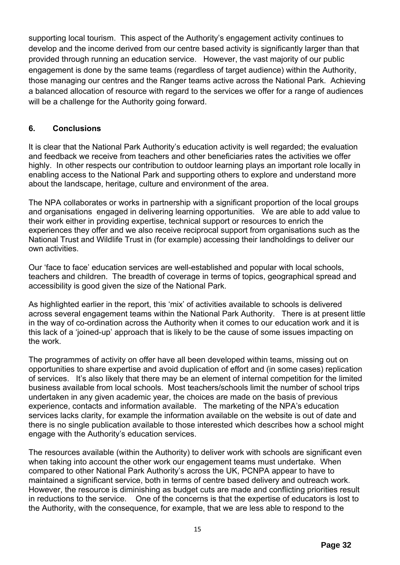supporting local tourism. This aspect of the Authority's engagement activity continues to develop and the income derived from our centre based activity is significantly larger than that provided through running an education service. However, the vast majority of our public engagement is done by the same teams (regardless of target audience) within the Authority, those managing our centres and the Ranger teams active across the National Park. Achieving a balanced allocation of resource with regard to the services we offer for a range of audiences will be a challenge for the Authority going forward.

### **6. Conclusions**

It is clear that the National Park Authority's education activity is well regarded; the evaluation and feedback we receive from teachers and other beneficiaries rates the activities we offer highly. In other respects our contribution to outdoor learning plays an important role locally in enabling access to the National Park and supporting others to explore and understand more about the landscape, heritage, culture and environment of the area.

The NPA collaborates or works in partnership with a significant proportion of the local groups and organisations engaged in delivering learning opportunities. We are able to add value to their work either in providing expertise, technical support or resources to enrich the experiences they offer and we also receive reciprocal support from organisations such as the National Trust and Wildlife Trust in (for example) accessing their landholdings to deliver our own activities.

Our 'face to face' education services are well-established and popular with local schools, teachers and children. The breadth of coverage in terms of topics, geographical spread and accessibility is good given the size of the National Park.

As highlighted earlier in the report, this 'mix' of activities available to schools is delivered across several engagement teams within the National Park Authority. There is at present little in the way of co-ordination across the Authority when it comes to our education work and it is this lack of a 'joined-up' approach that is likely to be the cause of some issues impacting on the work.

The programmes of activity on offer have all been developed within teams, missing out on opportunities to share expertise and avoid duplication of effort and (in some cases) replication of services. It's also likely that there may be an element of internal competition for the limited business available from local schools. Most teachers/schools limit the number of school trips undertaken in any given academic year, the choices are made on the basis of previous experience, contacts and information available. The marketing of the NPA's education services lacks clarity, for example the information available on the website is out of date and there is no single publication available to those interested which describes how a school might engage with the Authority's education services.

The resources available (within the Authority) to deliver work with schools are significant even when taking into account the other work our engagement teams must undertake. When compared to other National Park Authority's across the UK, PCNPA appear to have to maintained a significant service, both in terms of centre based delivery and outreach work. However, the resource is diminishing as budget cuts are made and conflicting priorities result in reductions to the service. One of the concerns is that the expertise of educators is lost to the Authority, with the consequence, for example, that we are less able to respond to the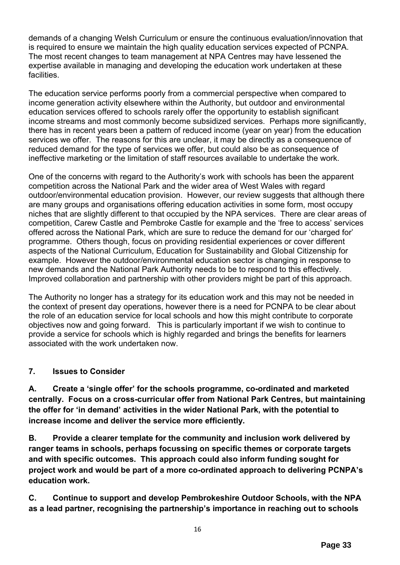demands of a changing Welsh Curriculum or ensure the continuous evaluation/innovation that is required to ensure we maintain the high quality education services expected of PCNPA. The most recent changes to team management at NPA Centres may have lessened the expertise available in managing and developing the education work undertaken at these facilities.

The education service performs poorly from a commercial perspective when compared to income generation activity elsewhere within the Authority, but outdoor and environmental education services offered to schools rarely offer the opportunity to establish significant income streams and most commonly become subsidized services. Perhaps more significantly, there has in recent years been a pattern of reduced income (year on year) from the education services we offer. The reasons for this are unclear, it may be directly as a consequence of reduced demand for the type of services we offer, but could also be as consequence of ineffective marketing or the limitation of staff resources available to undertake the work.

One of the concerns with regard to the Authority's work with schools has been the apparent competition across the National Park and the wider area of West Wales with regard outdoor/environmental education provision. However, our review suggests that although there are many groups and organisations offering education activities in some form, most occupy niches that are slightly different to that occupied by the NPA services. There are clear areas of competition, Carew Castle and Pembroke Castle for example and the 'free to access' services offered across the National Park, which are sure to reduce the demand for our 'charged for' programme. Others though, focus on providing residential experiences or cover different aspects of the National Curriculum, Education for Sustainability and Global Citizenship for example. However the outdoor/environmental education sector is changing in response to new demands and the National Park Authority needs to be to respond to this effectively. Improved collaboration and partnership with other providers might be part of this approach.

The Authority no longer has a strategy for its education work and this may not be needed in the context of present day operations, however there is a need for PCNPA to be clear about the role of an education service for local schools and how this might contribute to corporate objectives now and going forward. This is particularly important if we wish to continue to provide a service for schools which is highly regarded and brings the benefits for learners associated with the work undertaken now.

### **7. Issues to Consider**

**A. Create a 'single offer' for the schools programme, co-ordinated and marketed centrally. Focus on a cross-curricular offer from National Park Centres, but maintaining the offer for 'in demand' activities in the wider National Park, with the potential to increase income and deliver the service more efficiently.** 

**B. Provide a clearer template for the community and inclusion work delivered by ranger teams in schools, perhaps focussing on specific themes or corporate targets and with specific outcomes. This approach could also inform funding sought for project work and would be part of a more co-ordinated approach to delivering PCNPA's education work.** 

**C. Continue to support and develop Pembrokeshire Outdoor Schools, with the NPA as a lead partner, recognising the partnership's importance in reaching out to schools**